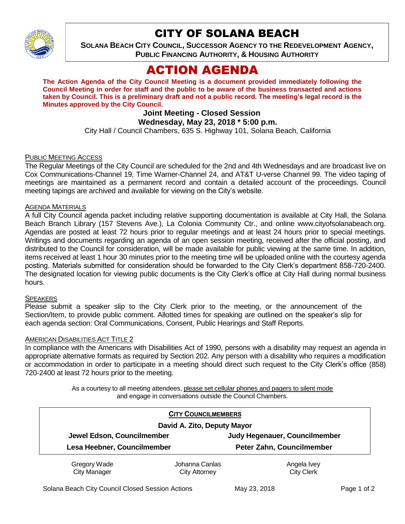

## CITY OF SOLANA BEACH

**SOLANA BEACH CITY COUNCIL, SUCCESSOR AGENCY TO THE REDEVELOPMENT AGENCY, PUBLIC FINANCING AUTHORITY, & HOUSING AUTHORITY** 

# ACTION AGENDA

**The Action Agenda of the City Council Meeting is a document provided immediately following the Council Meeting in order for staff and the public to be aware of the business transacted and actions taken by Council. This is a preliminary draft and not a public record. The meeting's legal record is the Minutes approved by the City Council.**

## **Joint Meeting - Closed Session**

## **Wednesday, May 23, 2018 \* 5:00 p.m.**

City Hall / Council Chambers, 635 S. Highway 101, Solana Beach, California

#### PUBLIC MEETING ACCESS

The Regular Meetings of the City Council are scheduled for the 2nd and 4th Wednesdays and are broadcast live on Cox Communications-Channel 19, Time Warner-Channel 24, and AT&T U-verse Channel 99. The video taping of meetings are maintained as a permanent record and contain a detailed account of the proceedings. Council meeting tapings are archived and available for viewing on the City's website.

#### **AGENDA MATERIALS**

A full City Council agenda packet including relative supporting documentation is available at City Hall, the Solana Beach Branch Library (157 Stevens Ave.), La Colonia Community Ctr., and online www.cityofsolanabeach.org. Agendas are posted at least 72 hours prior to regular meetings and at least 24 hours prior to special meetings. Writings and documents regarding an agenda of an open session meeting, received after the official posting, and distributed to the Council for consideration, will be made available for public viewing at the same time. In addition, items received at least 1 hour 30 minutes prior to the meeting time will be uploaded online with the courtesy agenda posting. Materials submitted for consideration should be forwarded to the City Clerk's department 858-720-2400. The designated location for viewing public documents is the City Clerk's office at City Hall during normal business hours.

#### SPEAKERS

Please submit a speaker slip to the City Clerk prior to the meeting, or the announcement of the Section/Item, to provide public comment. Allotted times for speaking are outlined on the speaker's slip for each agenda section: Oral Communications, Consent, Public Hearings and Staff Reports.

#### AMERICAN DISABILITIES ACT TITLE 2

In compliance with the Americans with Disabilities Act of 1990, persons with a disability may request an agenda in appropriate alternative formats as required by Section 202. Any person with a disability who requires a modification or accommodation in order to participate in a meeting should direct such request to the City Clerk's office (858) 720-2400 at least 72 hours prior to the meeting.

> As a courtesy to all meeting attendees, please set cellular phones and pagers to silent mode and engage in conversations outside the Council Chambers.

|  |                                                           | <b>CITY COUNCILMEMBERS</b>  |                                                            |  |
|--|-----------------------------------------------------------|-----------------------------|------------------------------------------------------------|--|
|  |                                                           | David A. Zito, Deputy Mayor |                                                            |  |
|  | Jewel Edson, Councilmember<br>Lesa Heebner, Councilmember |                             | Judy Hegenauer, Councilmember<br>Peter Zahn, Councilmember |  |
|  |                                                           |                             |                                                            |  |
|  | Gregory Wade                                              | Johanna Canlas              | Angela Ivey                                                |  |
|  | <b>City Manager</b>                                       | City Attorney               | <b>City Clerk</b>                                          |  |